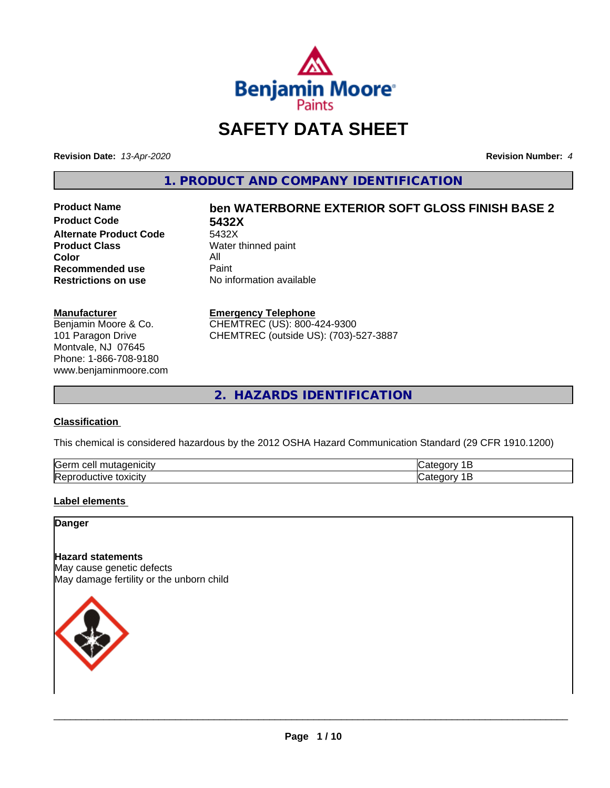

# **SAFETY DATA SHEET**

**Revision Date:** *13-Apr-2020* **Revision Number:** *4*

**1. PRODUCT AND COMPANY IDENTIFICATION**

**Product Code 5432X Alternate Product Code**<br>Product Class **Color** All<br> **Recommended use** Paint **Recommended use**<br>Restrictions on use

# **Product Name ben WATERBORNE EXTERIOR SOFT GLOSS FINISH BASE 2**

**Water thinned paint No information available** 

#### **Manufacturer**

Benjamin Moore & Co. 101 Paragon Drive Montvale, NJ 07645 Phone: 1-866-708-9180 www.benjaminmoore.com

#### **Emergency Telephone**

CHEMTREC (US): 800-424-9300 CHEMTREC (outside US): (703)-527-3887

**2. HAZARDS IDENTIFICATION**

## **Classification**

This chemical is considered hazardous by the 2012 OSHA Hazard Communication Standard (29 CFR 1910.1200)

| <b>Serr</b><br>. |  |
|------------------|--|
| Rep<br>UXIUII    |  |

#### **Label elements**

**Danger**

# **Hazard statements**

May cause genetic defects May damage fertility or the unborn child

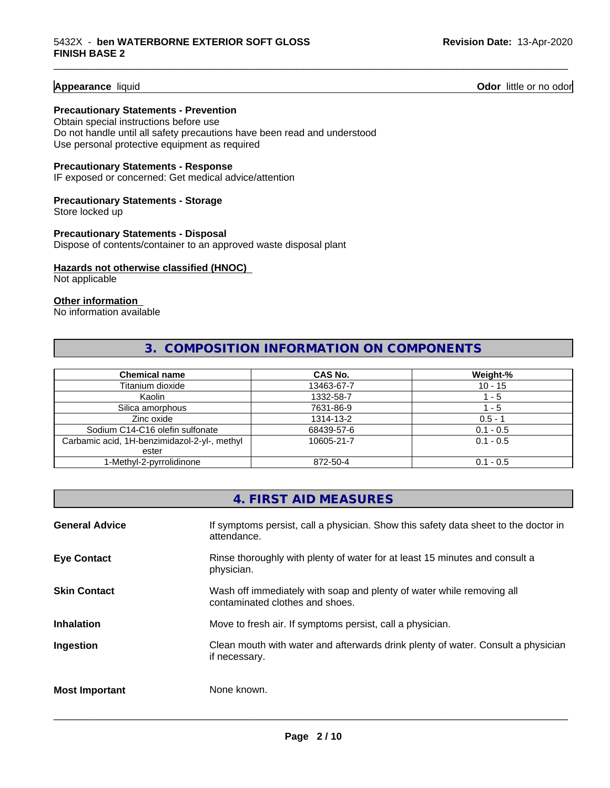**Appearance** liquid **Odor 11** Odor little or no odor

#### **Precautionary Statements - Prevention**

Obtain special instructions before use Do not handle until all safety precautions have been read and understood Use personal protective equipment as required

#### **Precautionary Statements - Response**

IF exposed or concerned: Get medical advice/attention

# **Precautionary Statements - Storage**

Store locked up

#### **Precautionary Statements - Disposal** Dispose of contents/container to an approved waste disposal plant

#### **Hazards not otherwise classified (HNOC)**

Not applicable

#### **Other information**

No information available

# **3. COMPOSITION INFORMATION ON COMPONENTS**

\_\_\_\_\_\_\_\_\_\_\_\_\_\_\_\_\_\_\_\_\_\_\_\_\_\_\_\_\_\_\_\_\_\_\_\_\_\_\_\_\_\_\_\_\_\_\_\_\_\_\_\_\_\_\_\_\_\_\_\_\_\_\_\_\_\_\_\_\_\_\_\_\_\_\_\_\_\_\_\_\_\_\_\_\_\_\_\_\_\_\_\_\_

| <b>Chemical name</b>                         | CAS No.    | Weight-%    |
|----------------------------------------------|------------|-------------|
| Titanium dioxide                             | 13463-67-7 | $10 - 15$   |
| Kaolin                                       | 1332-58-7  | - 5         |
| Silica amorphous                             | 7631-86-9  | - 5         |
| Zinc oxide                                   | 1314-13-2  | $0.5 - 1$   |
| Sodium C14-C16 olefin sulfonate              | 68439-57-6 | $0.1 - 0.5$ |
| Carbamic acid, 1H-benzimidazol-2-yl-, methyl | 10605-21-7 | $0.1 - 0.5$ |
| ester                                        |            |             |
| 1-Methyl-2-pyrrolidinone                     | 872-50-4   | $0.1 - 0.5$ |

# **4. FIRST AID MEASURES**

| <b>General Advice</b> | If symptoms persist, call a physician. Show this safety data sheet to the doctor in<br>attendance.       |
|-----------------------|----------------------------------------------------------------------------------------------------------|
| <b>Eye Contact</b>    | Rinse thoroughly with plenty of water for at least 15 minutes and consult a<br>physician.                |
| <b>Skin Contact</b>   | Wash off immediately with soap and plenty of water while removing all<br>contaminated clothes and shoes. |
| <b>Inhalation</b>     | Move to fresh air. If symptoms persist, call a physician.                                                |
| Ingestion             | Clean mouth with water and afterwards drink plenty of water. Consult a physician<br>if necessary.        |
| <b>Most Important</b> | None known.                                                                                              |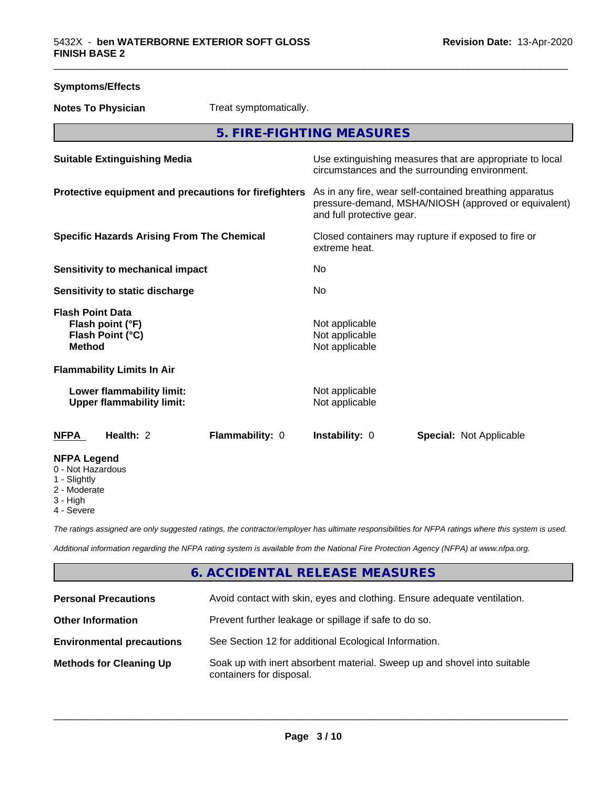| <b>Symptoms/Effects</b>                                                 |                                                               |                                                                                                                                              |                                                    |                                |
|-------------------------------------------------------------------------|---------------------------------------------------------------|----------------------------------------------------------------------------------------------------------------------------------------------|----------------------------------------------------|--------------------------------|
| <b>Notes To Physician</b>                                               |                                                               | Treat symptomatically.                                                                                                                       |                                                    |                                |
|                                                                         |                                                               |                                                                                                                                              | 5. FIRE-FIGHTING MEASURES                          |                                |
| <b>Suitable Extinguishing Media</b>                                     |                                                               | Use extinguishing measures that are appropriate to local<br>circumstances and the surrounding environment.                                   |                                                    |                                |
| Protective equipment and precautions for firefighters                   |                                                               | As in any fire, wear self-contained breathing apparatus<br>pressure-demand, MSHA/NIOSH (approved or equivalent)<br>and full protective gear. |                                                    |                                |
| <b>Specific Hazards Arising From The Chemical</b>                       |                                                               | Closed containers may rupture if exposed to fire or<br>extreme heat.                                                                         |                                                    |                                |
| Sensitivity to mechanical impact                                        |                                                               | No.                                                                                                                                          |                                                    |                                |
| Sensitivity to static discharge                                         |                                                               | No                                                                                                                                           |                                                    |                                |
| <b>Flash Point Data</b><br><b>Method</b>                                | Flash point (°F)<br>Flash Point (°C)                          |                                                                                                                                              | Not applicable<br>Not applicable<br>Not applicable |                                |
|                                                                         | <b>Flammability Limits In Air</b>                             |                                                                                                                                              |                                                    |                                |
|                                                                         | Lower flammability limit:<br><b>Upper flammability limit:</b> |                                                                                                                                              | Not applicable<br>Not applicable                   |                                |
| <b>NFPA</b>                                                             | Health: 2                                                     | Flammability: 0                                                                                                                              | Instability: 0                                     | <b>Special: Not Applicable</b> |
| <b>NFPA Legend</b><br>0 - Not Hazardous<br>1 - Slightly<br>2 - Moderate |                                                               |                                                                                                                                              |                                                    |                                |

4 - Severe

3 - High

*The ratings assigned are only suggested ratings, the contractor/employer has ultimate responsibilities for NFPA ratings where this system is used.*

*Additional information regarding the NFPA rating system is available from the National Fire Protection Agency (NFPA) at www.nfpa.org.*

# **6. ACCIDENTAL RELEASE MEASURES**

| <b>Personal Precautions</b>      | Avoid contact with skin, eyes and clothing. Ensure adequate ventilation.                             |
|----------------------------------|------------------------------------------------------------------------------------------------------|
| <b>Other Information</b>         | Prevent further leakage or spillage if safe to do so.                                                |
| <b>Environmental precautions</b> | See Section 12 for additional Ecological Information.                                                |
| <b>Methods for Cleaning Up</b>   | Soak up with inert absorbent material. Sweep up and shovel into suitable<br>containers for disposal. |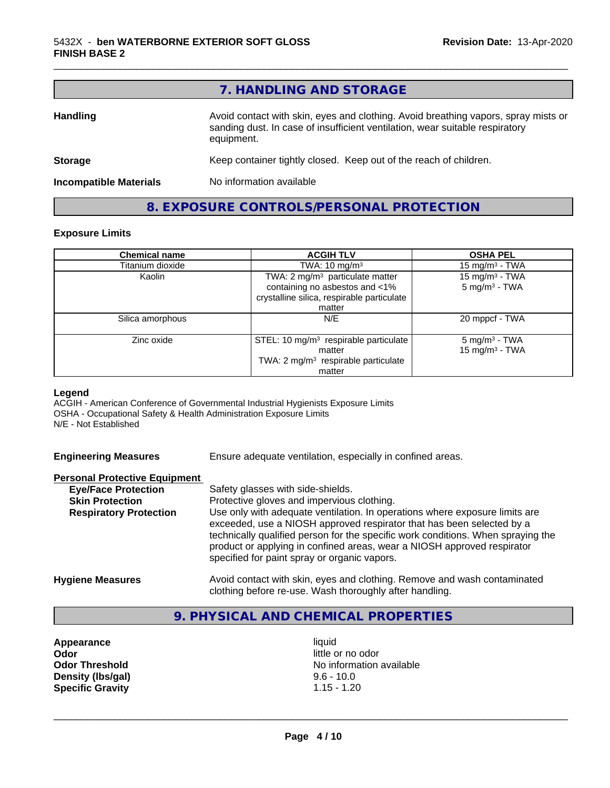|                               | 7. HANDLING AND STORAGE                                                                                                                                                          |  |
|-------------------------------|----------------------------------------------------------------------------------------------------------------------------------------------------------------------------------|--|
| <b>Handling</b>               | Avoid contact with skin, eyes and clothing. Avoid breathing vapors, spray mists or<br>sanding dust. In case of insufficient ventilation, wear suitable respiratory<br>equipment. |  |
| <b>Storage</b>                | Keep container tightly closed. Keep out of the reach of children.                                                                                                                |  |
| <b>Incompatible Materials</b> | No information available                                                                                                                                                         |  |

**8. EXPOSURE CONTROLS/PERSONAL PROTECTION**

#### **Exposure Limits**

| <b>Chemical name</b> | <b>ACGIH TLV</b>                                                                       | <b>OSHA PEL</b>                               |
|----------------------|----------------------------------------------------------------------------------------|-----------------------------------------------|
| Titanium dioxide     | TWA: $10 \text{ mg/m}^3$                                                               | 15 mg/m <sup>3</sup> - TWA                    |
| Kaolin               | TWA: 2 mg/m <sup>3</sup> particulate matter                                            | 15 mg/m $3$ - TWA                             |
|                      | containing no asbestos and <1%<br>crystalline silica, respirable particulate<br>matter | $5 \text{ mg/m}^3$ - TWA                      |
| Silica amorphous     | N/E                                                                                    | 20 mppcf - TWA                                |
|                      |                                                                                        |                                               |
| Zinc oxide           | STEL: 10 mg/m <sup>3</sup> respirable particulate<br>matter                            | $5 \text{ mg/m}^3$ - TWA<br>15 mg/m $3$ - TWA |
|                      | TWA: 2 mg/m <sup>3</sup> respirable particulate<br>matter                              |                                               |

#### **Legend**

ACGIH - American Conference of Governmental Industrial Hygienists Exposure Limits OSHA - Occupational Safety & Health Administration Exposure Limits N/E - Not Established

Ensure adequate ventilation, especially in confined areas.

#### **Personal Protective Equipment**

| <b>Eye/Face Protection</b>    | Safety glasses with side-shields.                                                                                                                                                                                                                                                    |
|-------------------------------|--------------------------------------------------------------------------------------------------------------------------------------------------------------------------------------------------------------------------------------------------------------------------------------|
| <b>Skin Protection</b>        | Protective gloves and impervious clothing.                                                                                                                                                                                                                                           |
| <b>Respiratory Protection</b> | Use only with adequate ventilation. In operations where exposure limits are                                                                                                                                                                                                          |
|                               | exceeded, use a NIOSH approved respirator that has been selected by a<br>technically qualified person for the specific work conditions. When spraying the<br>product or applying in confined areas, wear a NIOSH approved respirator<br>specified for paint spray or organic vapors. |
| <b>Hygiene Measures</b>       | Avoid contact with skin, eyes and clothing. Remove and wash contaminated<br>clothing before re-use. Wash thoroughly after handling.                                                                                                                                                  |

# **9. PHYSICAL AND CHEMICAL PROPERTIES**

**Appearance** liquid **Odor**<br> **Odor Threshold**<br> **Odor Threshold**<br> **Odor Threshold**<br> **Odor Density (Ibs/gal)** 9.6 - 10.0<br> **Specific Gravity** 1.15 - 1.20 **Specific Gravity** 

**No information available**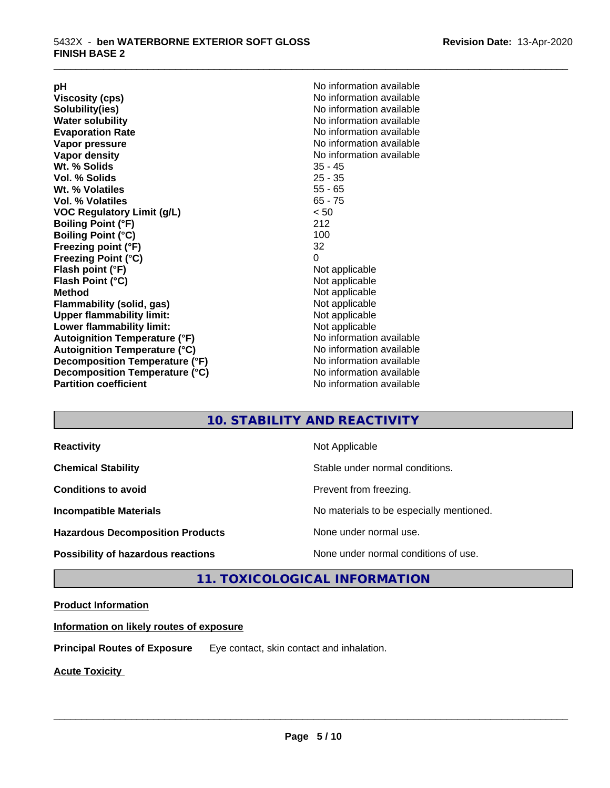**Viscosity (cps)** <br> **Viscosity (cps)** No information available<br>
No information available<br>
No information available **Water solubility**<br> **Evaporation Rate**<br> **Evaporation Rate**<br> **Evaporation Rate Vapor pressure** No information available **Vapor density No information available No information available Wt. % Solids** 35 - 45 **Vol. % Solids Wt. % Volatiles** 55 - 65 **Vol. % Volatiles** 65 - 75 **VOC Regulatory Limit (g/L)** < 50 **Boiling Point (°F)** 212 **Boiling Point (°C) Freezing point (°F)** 32 **Freezing Point (°C)** 0 **Flash point (°F)** Not applicable **Flash Point (°C)** Not applicable **Method**<br> **Flammability (solid, gas)**<br> **Example 2018** Not applicable **Flammability** (solid, gas) **Upper flammability limit:** Not applicable **Lower flammability limit:** Not applicable **Autoignition Temperature (°F)** No information available **Autoignition Temperature (°C)**<br> **Decomposition Temperature (°F)** No information available **Decomposition Temperature (°F) Decomposition Temperature (°C)** No information available<br> **Partition coefficient Partition available** 

**pH**<br>
Viscosity (cps) The Contract Contract Contract Contract Contract Contract Contract Contract Contract Contract Co<br>
No information available **Solubility(ies)** No information available **Evaporation Rate** No information available **No information available** 

\_\_\_\_\_\_\_\_\_\_\_\_\_\_\_\_\_\_\_\_\_\_\_\_\_\_\_\_\_\_\_\_\_\_\_\_\_\_\_\_\_\_\_\_\_\_\_\_\_\_\_\_\_\_\_\_\_\_\_\_\_\_\_\_\_\_\_\_\_\_\_\_\_\_\_\_\_\_\_\_\_\_\_\_\_\_\_\_\_\_\_\_\_

# **10. STABILITY AND REACTIVITY**

| <b>Reactivity</b>                         | Not Applicable                           |
|-------------------------------------------|------------------------------------------|
| <b>Chemical Stability</b>                 | Stable under normal conditions.          |
| <b>Conditions to avoid</b>                | Prevent from freezing.                   |
| <b>Incompatible Materials</b>             | No materials to be especially mentioned. |
| <b>Hazardous Decomposition Products</b>   | None under normal use.                   |
| <b>Possibility of hazardous reactions</b> | None under normal conditions of use.     |

# **11. TOXICOLOGICAL INFORMATION**

## **Product Information**

**Information on likely routes of exposure**

**Principal Routes of Exposure** Eye contact, skin contact and inhalation.

**Acute Toxicity**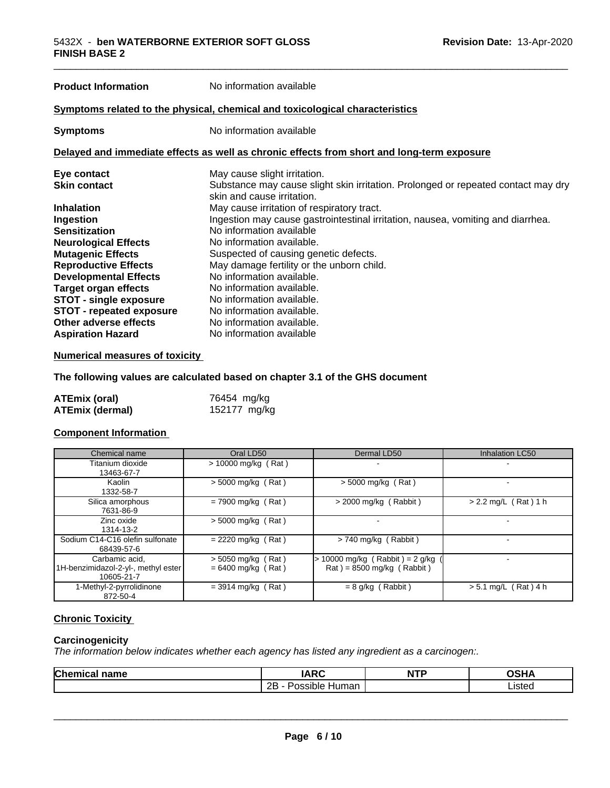# **Product Information** No information available **Symptoms** related to the physical, chemical and toxicological characteristics **Symptoms** No information available **Delayed and immediate effects as well as chronic effects from short and long-term exposure Eye contact Execution Contact Contact Contact Contact Contact Contact Contact Contact Contact Contact Contact Contact Contact Contact Contact Contact Contact Contact Contact Contact Contact Contact Contact Contact Contact** Substance may cause slight skin irritation. Prolonged or repeated contact may dry skin and cause irritation. **Inhalation**<br> **Ingestion**<br> **Ingestion**<br>
Ingestion may cause gastrointestinal irr **Ingestion** Ingestion may cause gastrointestinal irritation, nausea, vomiting and diarrhea. **Sensitization** No information available **Neurological Effects**<br> **Mutagenic Effects**<br> **Mutagenic Effects**<br> **No information available.** Suspected of causing genetic defects. **Reproductive Effects** May damage fertility or the unborn child.<br> **Developmental Effects** Mo information available **Developmental Effects Target organ effects** No information available. **STOT** - **single exposure** No information available. **STOT - repeated exposure** No information available.<br> **Other adverse effects** No information available. **Other adverse effects Aspiration Hazard** No information available

#### **Numerical measures of toxicity**

**The following values are calculated based on chapter 3.1 of the GHS document**

| <b>ATEmix (oral)</b>   | 76454 mg/kg  |
|------------------------|--------------|
| <b>ATEmix (dermal)</b> | 152177 mg/kg |

#### **Component Information**

| Chemical name                                                       | Oral LD50                                    | Dermal LD50                                                                        | <b>Inhalation LC50</b> |
|---------------------------------------------------------------------|----------------------------------------------|------------------------------------------------------------------------------------|------------------------|
| Titanium dioxide<br>13463-67-7                                      | $> 10000$ mg/kg (Rat)                        |                                                                                    |                        |
| Kaolin<br>1332-58-7                                                 | $>$ 5000 mg/kg (Rat)                         | $>$ 5000 mg/kg (Rat)                                                               |                        |
| Silica amorphous<br>7631-86-9                                       | $= 7900$ mg/kg (Rat)                         | $>$ 2000 mg/kg (Rabbit)                                                            | $> 2.2$ mg/L (Rat) 1 h |
| Zinc oxide<br>1314-13-2                                             | $> 5000$ mg/kg (Rat)                         |                                                                                    |                        |
| Sodium C14-C16 olefin sulfonate<br>68439-57-6                       | $= 2220$ mg/kg (Rat)                         | $> 740$ mg/kg (Rabbit)                                                             |                        |
| Carbamic acid.<br>1H-benzimidazol-2-yl-, methyl ester<br>10605-21-7 | $> 5050$ mg/kg (Rat)<br>$= 6400$ mg/kg (Rat) | > 10000 mg/kg (Rabbit) = 2 g/kg<br>$\text{Rat}$ ) = 8500 mg/kg ( $\text{Rabbit}$ ) |                        |
| 1-Methyl-2-pyrrolidinone<br>872-50-4                                | $=$ 3914 mg/kg (Rat)                         | $= 8$ g/kg (Rabbit)                                                                | $> 5.1$ mg/L (Rat) 4 h |

# **Chronic Toxicity**

#### **Carcinogenicity**

*The information below indicateswhether each agency has listed any ingredient as a carcinogen:.*

| Chemical | <b>IARC</b>              | <b>NTP</b> | ∧ב⊔∧            |
|----------|--------------------------|------------|-----------------|
| name     | INI                      | .          | . . <i>.</i>    |
|          | 2B<br>Human<br>ossible ' |            | ietor<br>Listed |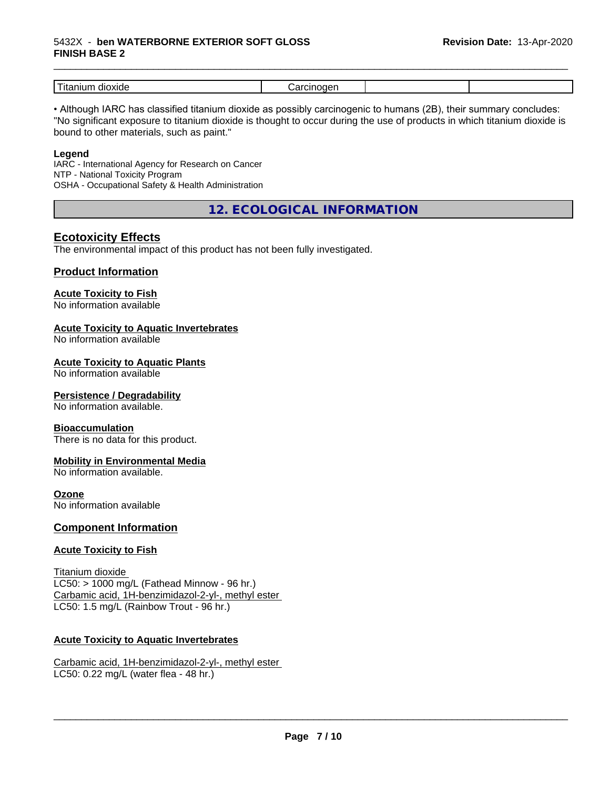#### 5432X - **ben WATERBORNE EXTERIOR SOFT GLOSS FINISH BASE 2**

| -<br>dioxide<br>---<br>шл<br>1 L c |  |  |
|------------------------------------|--|--|

\_\_\_\_\_\_\_\_\_\_\_\_\_\_\_\_\_\_\_\_\_\_\_\_\_\_\_\_\_\_\_\_\_\_\_\_\_\_\_\_\_\_\_\_\_\_\_\_\_\_\_\_\_\_\_\_\_\_\_\_\_\_\_\_\_\_\_\_\_\_\_\_\_\_\_\_\_\_\_\_\_\_\_\_\_\_\_\_\_\_\_\_\_

• Although IARC has classified titanium dioxide as possibly carcinogenic to humans (2B), their summary concludes: "No significant exposure to titanium dioxide is thought to occur during the use of products in which titanium dioxide is bound to other materials, such as paint."

#### **Legend**

IARC - International Agency for Research on Cancer NTP - National Toxicity Program OSHA - Occupational Safety & Health Administration

**12. ECOLOGICAL INFORMATION**

# **Ecotoxicity Effects**

The environmental impact of this product has not been fully investigated.

## **Product Information**

# **Acute Toxicity to Fish**

No information available

## **Acute Toxicity to Aquatic Invertebrates**

No information available

## **Acute Toxicity to Aquatic Plants**

No information available

#### **Persistence / Degradability**

No information available.

#### **Bioaccumulation**

There is no data for this product.

#### **Mobility in Environmental Media**

No information available.

#### **Ozone**

No information available

#### **Component Information**

#### **Acute Toxicity to Fish**

Titanium dioxide  $LC50:$  > 1000 mg/L (Fathead Minnow - 96 hr.) Carbamic acid, 1H-benzimidazol-2-yl-, methyl ester LC50: 1.5 mg/L (Rainbow Trout - 96 hr.)

#### **Acute Toxicity to Aquatic Invertebrates**

Carbamic acid, 1H-benzimidazol-2-yl-, methyl ester LC50: 0.22 mg/L (water flea - 48 hr.)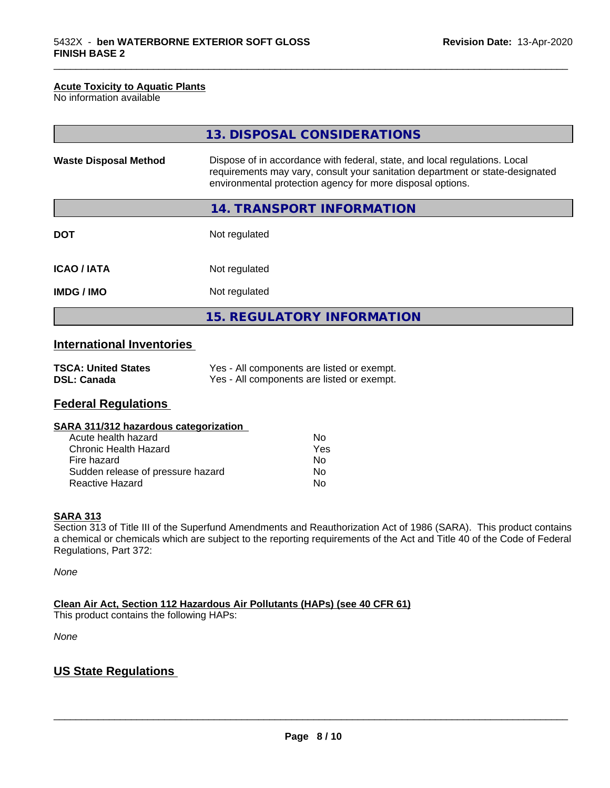#### **Acute Toxicity to Aquatic Plants**

No information available

|                              | 13. DISPOSAL CONSIDERATIONS                                                                                                                                                                                               |
|------------------------------|---------------------------------------------------------------------------------------------------------------------------------------------------------------------------------------------------------------------------|
| <b>Waste Disposal Method</b> | Dispose of in accordance with federal, state, and local regulations. Local<br>requirements may vary, consult your sanitation department or state-designated<br>environmental protection agency for more disposal options. |
|                              | 14. TRANSPORT INFORMATION                                                                                                                                                                                                 |
| <b>DOT</b>                   | Not regulated                                                                                                                                                                                                             |
| <b>ICAO/IATA</b>             | Not regulated                                                                                                                                                                                                             |
| <b>IMDG/IMO</b>              | Not regulated                                                                                                                                                                                                             |
|                              | <b>15. REGULATORY INFORMATION</b>                                                                                                                                                                                         |

\_\_\_\_\_\_\_\_\_\_\_\_\_\_\_\_\_\_\_\_\_\_\_\_\_\_\_\_\_\_\_\_\_\_\_\_\_\_\_\_\_\_\_\_\_\_\_\_\_\_\_\_\_\_\_\_\_\_\_\_\_\_\_\_\_\_\_\_\_\_\_\_\_\_\_\_\_\_\_\_\_\_\_\_\_\_\_\_\_\_\_\_\_

# **International Inventories**

| <b>TSCA: United States</b> | Yes - All components are listed or exempt. |
|----------------------------|--------------------------------------------|
| <b>DSL: Canada</b>         | Yes - All components are listed or exempt. |

# **Federal Regulations**

| SARA 311/312 hazardous categorization |  |
|---------------------------------------|--|
|---------------------------------------|--|

| Acute health hazard               | Nο  |
|-----------------------------------|-----|
| Chronic Health Hazard             | Yes |
| Fire hazard                       | Nο  |
| Sudden release of pressure hazard | Nο  |
| <b>Reactive Hazard</b>            | N٥  |

#### **SARA 313**

Section 313 of Title III of the Superfund Amendments and Reauthorization Act of 1986 (SARA). This product contains a chemical or chemicals which are subject to the reporting requirements of the Act and Title 40 of the Code of Federal Regulations, Part 372:

*None*

**Clean Air Act,Section 112 Hazardous Air Pollutants (HAPs) (see 40 CFR 61)**

This product contains the following HAPs:

*None*

# **US State Regulations**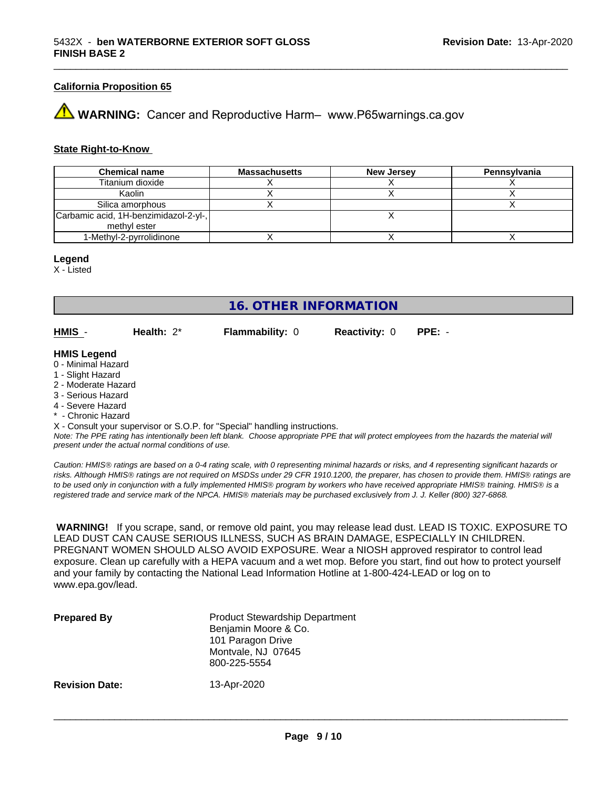#### **California Proposition 65**

**WARNING:** Cancer and Reproductive Harm– www.P65warnings.ca.gov

#### **State Right-to-Know**

| <b>Chemical name</b>                  | <b>Massachusetts</b> | <b>New Jersey</b> | Pennsvlvania |
|---------------------------------------|----------------------|-------------------|--------------|
| Titanium dioxide                      |                      |                   |              |
| Kaolin                                |                      |                   |              |
| Silica amorphous                      |                      |                   |              |
| Carbamic acid, 1H-benzimidazol-2-yl-, |                      |                   |              |
| methyl ester                          |                      |                   |              |
| 1-Methyl-2-pyrrolidinone              |                      |                   |              |

#### **Legend**

X - Listed

# **16. OTHER INFORMATION**

**HMIS** - **Health:** 2\* **Flammability:** 0 **Reactivity:** 0 **PPE:** -

#### **HMIS Legend**

- 0 Minimal Hazard
- 1 Slight Hazard
- 2 Moderate Hazard
- 3 Serious Hazard
- 4 Severe Hazard
- Chronic Hazard

X - Consult your supervisor or S.O.P. for "Special" handling instructions.

*Note: The PPE rating has intentionally been left blank. Choose appropriate PPE that will protect employees from the hazards the material will present under the actual normal conditions of use.*

*Caution: HMISÒ ratings are based on a 0-4 rating scale, with 0 representing minimal hazards or risks, and 4 representing significant hazards or risks. Although HMISÒ ratings are not required on MSDSs under 29 CFR 1910.1200, the preparer, has chosen to provide them. HMISÒ ratings are to be used only in conjunction with a fully implemented HMISÒ program by workers who have received appropriate HMISÒ training. HMISÒ is a registered trade and service mark of the NPCA. HMISÒ materials may be purchased exclusively from J. J. Keller (800) 327-6868.*

 **WARNING!** If you scrape, sand, or remove old paint, you may release lead dust. LEAD IS TOXIC. EXPOSURE TO LEAD DUST CAN CAUSE SERIOUS ILLNESS, SUCH AS BRAIN DAMAGE, ESPECIALLY IN CHILDREN. PREGNANT WOMEN SHOULD ALSO AVOID EXPOSURE.Wear a NIOSH approved respirator to control lead exposure. Clean up carefully with a HEPA vacuum and a wet mop. Before you start, find out how to protect yourself and your family by contacting the National Lead Information Hotline at 1-800-424-LEAD or log on to www.epa.gov/lead.

| <b>Prepared By</b>    | <b>Product Stewardship Department</b><br>Benjamin Moore & Co.<br>101 Paragon Drive<br>Montvale, NJ 07645<br>800-225-5554 |
|-----------------------|--------------------------------------------------------------------------------------------------------------------------|
| <b>Revision Date:</b> | 13-Apr-2020                                                                                                              |